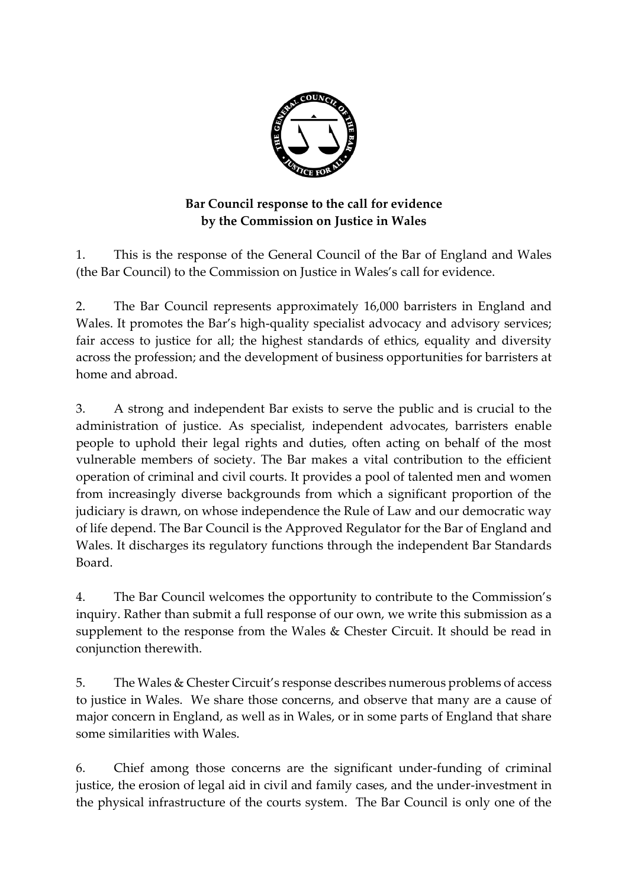

## **Bar Council response to the call for evidence by the Commission on Justice in Wales**

1. This is the response of the General Council of the Bar of England and Wales (the Bar Council) to the Commission on Justice in Wales's call for evidence.

2. The Bar Council represents approximately 16,000 barristers in England and Wales. It promotes the Bar's high-quality specialist advocacy and advisory services; fair access to justice for all; the highest standards of ethics, equality and diversity across the profession; and the development of business opportunities for barristers at home and abroad.

3. A strong and independent Bar exists to serve the public and is crucial to the administration of justice. As specialist, independent advocates, barristers enable people to uphold their legal rights and duties, often acting on behalf of the most vulnerable members of society. The Bar makes a vital contribution to the efficient operation of criminal and civil courts. It provides a pool of talented men and women from increasingly diverse backgrounds from which a significant proportion of the judiciary is drawn, on whose independence the Rule of Law and our democratic way of life depend. The Bar Council is the Approved Regulator for the Bar of England and Wales. It discharges its regulatory functions through the independent Bar Standards Board.

4. The Bar Council welcomes the opportunity to contribute to the Commission's inquiry. Rather than submit a full response of our own, we write this submission as a supplement to the response from the Wales & Chester Circuit. It should be read in conjunction therewith.

5. The Wales & Chester Circuit's response describes numerous problems of access to justice in Wales. We share those concerns, and observe that many are a cause of major concern in England, as well as in Wales, or in some parts of England that share some similarities with Wales.

6. Chief among those concerns are the significant under-funding of criminal justice, the erosion of legal aid in civil and family cases, and the under-investment in the physical infrastructure of the courts system. The Bar Council is only one of the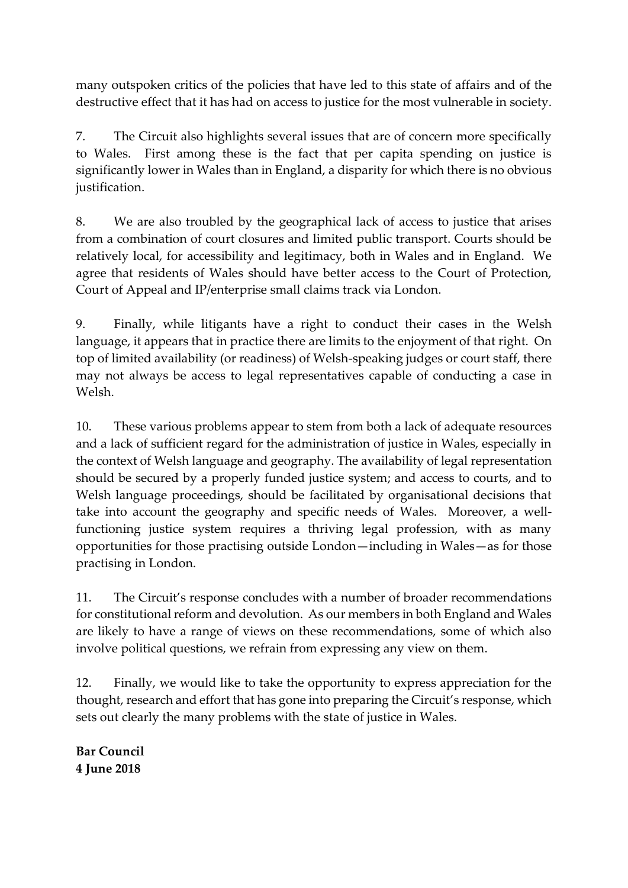many outspoken critics of the policies that have led to this state of affairs and of the destructive effect that it has had on access to justice for the most vulnerable in society.

7. The Circuit also highlights several issues that are of concern more specifically to Wales. First among these is the fact that per capita spending on justice is significantly lower in Wales than in England, a disparity for which there is no obvious justification.

8. We are also troubled by the geographical lack of access to justice that arises from a combination of court closures and limited public transport. Courts should be relatively local, for accessibility and legitimacy, both in Wales and in England. We agree that residents of Wales should have better access to the Court of Protection, Court of Appeal and IP/enterprise small claims track via London.

9. Finally, while litigants have a right to conduct their cases in the Welsh language, it appears that in practice there are limits to the enjoyment of that right. On top of limited availability (or readiness) of Welsh-speaking judges or court staff, there may not always be access to legal representatives capable of conducting a case in Welsh.

10. These various problems appear to stem from both a lack of adequate resources and a lack of sufficient regard for the administration of justice in Wales, especially in the context of Welsh language and geography. The availability of legal representation should be secured by a properly funded justice system; and access to courts, and to Welsh language proceedings, should be facilitated by organisational decisions that take into account the geography and specific needs of Wales. Moreover, a wellfunctioning justice system requires a thriving legal profession, with as many opportunities for those practising outside London—including in Wales—as for those practising in London.

11. The Circuit's response concludes with a number of broader recommendations for constitutional reform and devolution. As our members in both England and Wales are likely to have a range of views on these recommendations, some of which also involve political questions, we refrain from expressing any view on them.

12. Finally, we would like to take the opportunity to express appreciation for the thought, research and effort that has gone into preparing the Circuit's response, which sets out clearly the many problems with the state of justice in Wales.

**Bar Council 4 June 2018**